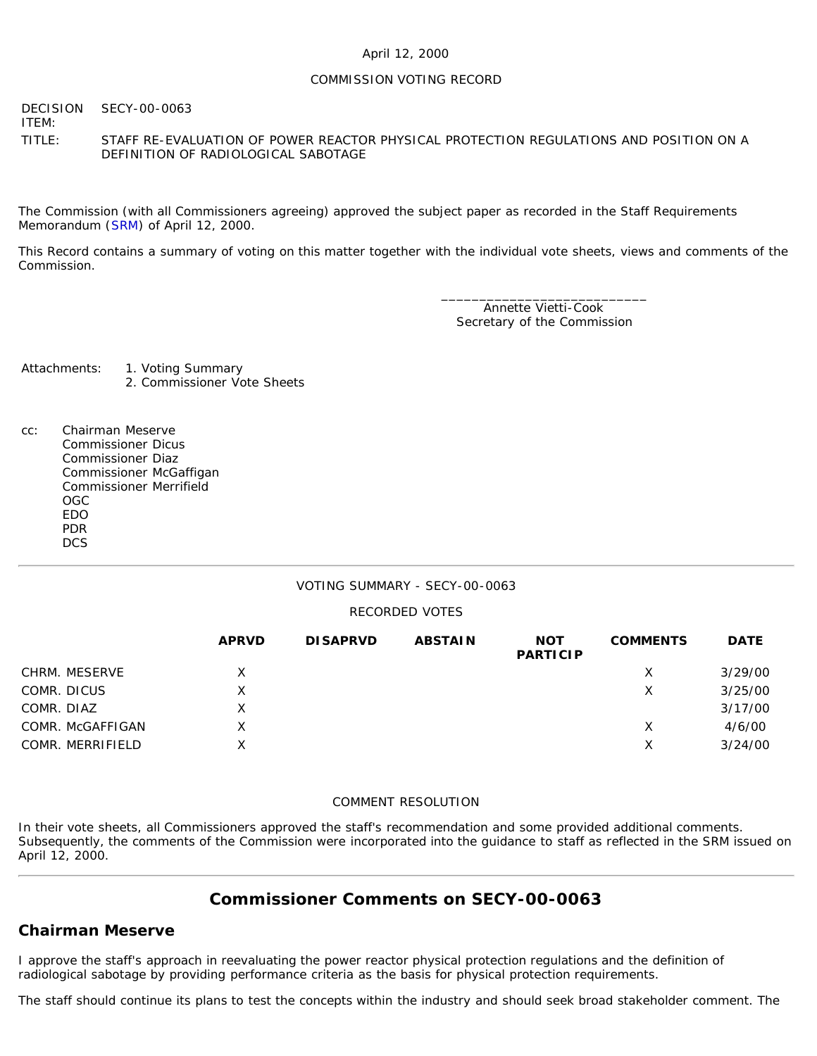### April 12, 2000

### COMMISSION VOTING RECORD

**DECISION** ITEM: SECY-00-0063

TITLE: STAFF RE-EVALUATION OF POWER REACTOR PHYSICAL PROTECTION REGULATIONS AND POSITION ON A DEFINITION OF RADIOLOGICAL SABOTAGE

The Commission (with all Commissioners agreeing) approved the subject paper as recorded in the Staff Requirements Memorandum ([SRM\)](http://www.nrc.gov/reading-rm/doc-collections/commission/srm/2000/2000-0063srm.html) of April 12, 2000.

This Record contains a summary of voting on this matter together with the individual vote sheets, views and comments of the Commission.

> \_\_\_\_\_\_\_\_\_\_\_\_\_\_\_\_\_\_\_\_\_\_\_\_\_\_\_ Annette Vietti-Cook Secretary of the Commission

Attachments: 1. Voting Summary 2. Commissioner Vote Sheets

cc: Chairman Meserve Commissioner Dicus Commissioner Diaz Commissioner McGaffigan Commissioner Merrifield OGC EDO PDR **DCS** 

### VOTING SUMMARY - SECY-00-0063

### RECORDED VOTES

|                  | <b>APRVD</b> | <b>DISAPRVD</b> | <b>ABSTAIN</b> | <b>NOT</b><br><b>PARTICIP</b> | <b>COMMENTS</b> | <b>DATE</b> |
|------------------|--------------|-----------------|----------------|-------------------------------|-----------------|-------------|
| CHRM. MESERVE    | X            |                 |                |                               | х               | 3/29/00     |
| COMR. DICUS      | Χ            |                 |                |                               | Х               | 3/25/00     |
| COMR. DIAZ       | Х            |                 |                |                               |                 | 3/17/00     |
| COMR. McGAFFIGAN | x            |                 |                |                               | х               | 4/6/00      |
| COMR. MERRIFIELD | Χ            |                 |                |                               | Х               | 3/24/00     |

### COMMENT RESOLUTION

In their vote sheets, all Commissioners approved the staff's recommendation and some provided additional comments. Subsequently, the comments of the Commission were incorporated into the guidance to staff as reflected in the SRM issued on April 12, 2000.

# **Commissioner Comments on [SECY-00-0063](http://www.nrc.gov/reading-rm/doc-collections/commission/secys/2000/secy2000-0063/2000-0063scy.html)**

## **Chairman Meserve**

I approve the staff's approach in reevaluating the power reactor physical protection regulations and the definition of radiological sabotage by providing performance criteria as the basis for physical protection requirements.

The staff should continue its plans to test the concepts within the industry and should seek broad stakeholder comment. The